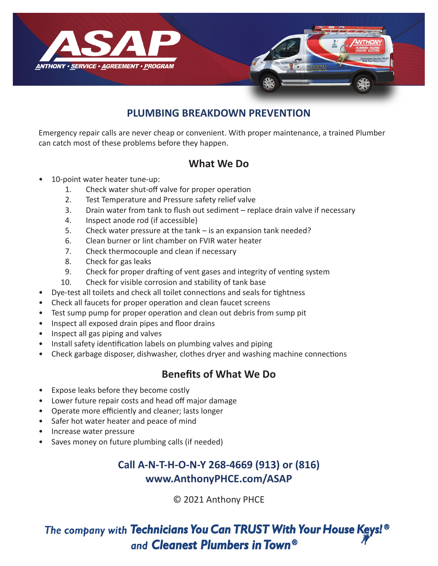

#### **PLUMBING BREAKDOWN PREVENTION**

Emergency repair calls are never cheap or convenient. With proper maintenance, a trained Plumber can catch most of these problems before they happen.

#### **What We Do**

- 10-point water heater tune-up:
	- 1. Check water shut-off valve for proper operation
	- 2. Test Temperature and Pressure safety relief valve
	- 3. Drain water from tank to flush out sediment replace drain valve if necessary
	- 4. Inspect anode rod (if accessible)
	- 5. Check water pressure at the tank is an expansion tank needed?
	- 6. Clean burner or lint chamber on FVIR water heater
	- 7. Check thermocouple and clean if necessary
	- 8. Check for gas leaks
	- 9. Check for proper drafting of vent gases and integrity of venting system
	- 10. Check for visible corrosion and stability of tank base
- Dye-test all toilets and check all toilet connections and seals for tightness
- Check all faucets for proper operation and clean faucet screens
- Test sump pump for proper operation and clean out debris from sump pit
- Inspect all exposed drain pipes and floor drains
- Inspect all gas piping and valves
- Install safety identification labels on plumbing valves and piping
- Check garbage disposer, dishwasher, clothes dryer and washing machine connections

## **Benefits of What We Do**

- Expose leaks before they become costly
- Lower future repair costs and head off major damage
- Operate more efficiently and cleaner; lasts longer
- Safer hot water heater and peace of mind
- Increase water pressure
- Saves money on future plumbing calls (if needed)

# **Call A-N-T-H-O-N-Y 268-4669 (913) or (816) www.AnthonyPHCE.com/ASAP**

© 2021 Anthony PHCE

# The company with Technicians You Can TRUST With Your House Keys! ® and Cleanest Plumbers in Town®